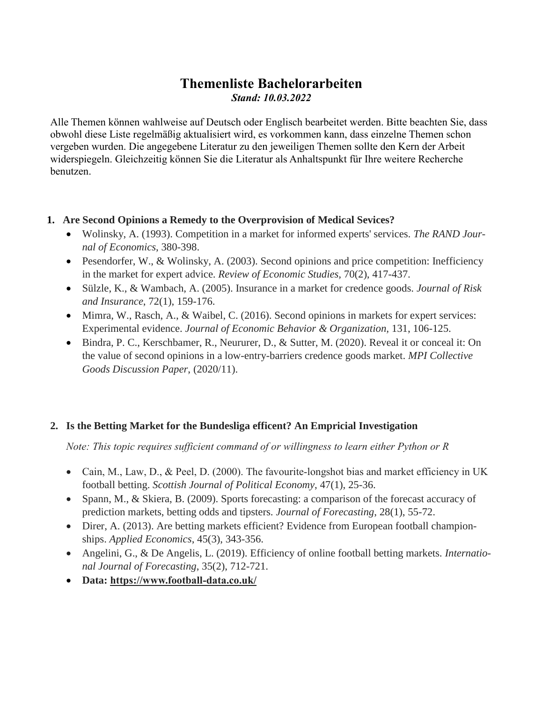# **Themenliste Bachelorarbeiten** *Stand: 10.03.2022*

Alle Themen können wahlweise auf Deutsch oder Englisch bearbeitet werden. Bitte beachten Sie, dass obwohl diese Liste regelmäßig aktualisiert wird, es vorkommen kann, dass einzelne Themen schon vergeben wurden. Die angegebene Literatur zu den jeweiligen Themen sollte den Kern der Arbeit widerspiegeln. Gleichzeitig können Sie die Literatur als Anhaltspunkt für Ihre weitere Recherche benutzen.

### **1. Are Second Opinions a Remedy to the Overprovision of Medical Sevices?**

- Wolinsky, A. (1993). Competition in a market for informed experts' services. *The RAND Journal of Economics*, 380-398.
- Pesendorfer, W., & Wolinsky, A. (2003). Second opinions and price competition: Inefficiency in the market for expert advice. *Review of Economic Studies,* 70(2), 417-437.
- Sülzle, K., & Wambach, A. (2005). Insurance in a market for credence goods. *Journal of Risk and Insurance*, 72(1), 159-176.
- Mimra, W., Rasch, A., & Waibel, C. (2016). Second opinions in markets for expert services: Experimental evidence. *Journal of Economic Behavior & Organization,* 131, 106-125.
- Bindra, P. C., Kerschbamer, R., Neururer, D., & Sutter, M. (2020). Reveal it or conceal it: On the value of second opinions in a low-entry-barriers credence goods market. *MPI Collective Goods Discussion Paper*, (2020/11).

# **2. Is the Betting Market for the Bundesliga efficent? An Empricial Investigation**

*Note: This topic requires sufficient command of or willingness to learn either Python or R*

- Cain, M., Law, D., & Peel, D. (2000). The favourite-longshot bias and market efficiency in UK football betting. *Scottish Journal of Political Economy*, 47(1), 25-36.
- Spann, M., & Skiera, B. (2009). Sports forecasting: a comparison of the forecast accuracy of prediction markets, betting odds and tipsters. *Journal of Forecasting*, 28(1), 55-72.
- Direr, A. (2013). Are betting markets efficient? Evidence from European football championships. *Applied Economics*, 45(3), 343-356.
- Angelini, G., & De Angelis, L. (2019). Efficiency of online football betting markets. *International Journal of Forecasting*, 35(2), 712-721.
- **Data: https://www.football-data.co.uk/**